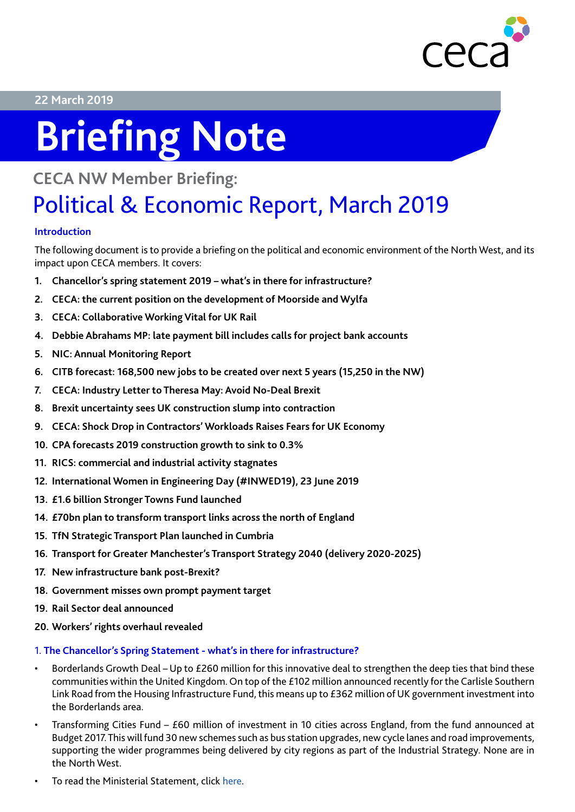

#### **22 March 2019**

# **Briefing Note**

### **CECA NW Member Briefing:**

## Political & Economic Report, March 2019

#### **Introduction**

The following document is to provide a briefing on the political and economic environment of the North West, and its impact upon CECA members. It covers:

- **1. Chancellor's spring statement 2019 what's in there for infrastructure?**
- **2. CECA: the current position on the development of Moorside and Wylfa**
- **3. CECA: Collaborative Working Vital for UK Rail**
- **4. Debbie Abrahams MP: late payment bill includes calls for project bank accounts**
- **5. NIC: Annual Monitoring Report**
- **6. CITB forecast: 168,500 new jobs to be created over next 5 years (15,250 in the NW)**
- **7. CECA: Industry Letter to Theresa May: Avoid No-Deal Brexit**
- **8. Brexit uncertainty sees UK construction slump into contraction**
- **9. CECA: Shock Drop in Contractors' Workloads Raises Fears for UK Economy**
- **10. CPA forecasts 2019 construction growth to sink to 0.3%**
- **11. RICS: commercial and industrial activity stagnates**
- **12. International Women in Engineering Day (#INWED19), 23 June 2019**
- **13. £1.6 billion Stronger Towns Fund launched**
- **14. £70bn plan to transform transport links across the north of England**
- **15. TfN Strategic Transport Plan launched in Cumbria**
- **16. Transport for Greater Manchester's Transport Strategy 2040 (delivery 2020-2025)**
- **17. New infrastructure bank post-Brexit?**
- **18. Government misses own prompt payment target**
- **19. Rail Sector deal announced**
- **20. Workers' rights overhaul revealed**

#### 1. **The Chancellor's Spring Statement - what's in there for infrastructure?**

- Borderlands Growth Deal Up to £260 million for this innovative deal to strengthen the deep ties that bind these communities within the United Kingdom. On top of the £102 million announced recently for the Carlisle Southern Link Road from the Housing Infrastructure Fund, this means up to £362 million of UK government investment into the Borderlands area.
- Transforming Cities Fund £60 million of investment in 10 cities across England, from the fund announced at Budget 2017. This will fund 30 new schemes such as bus station upgrades, new cycle lanes and road improvements, supporting the wider programmes being delivered by city regions as part of the Industrial Strategy. None are in the North West.
- To read the Ministerial Statement, click [here](https://www.gov.uk/government/publications/spring-statement-2019-written-ministerial-statement).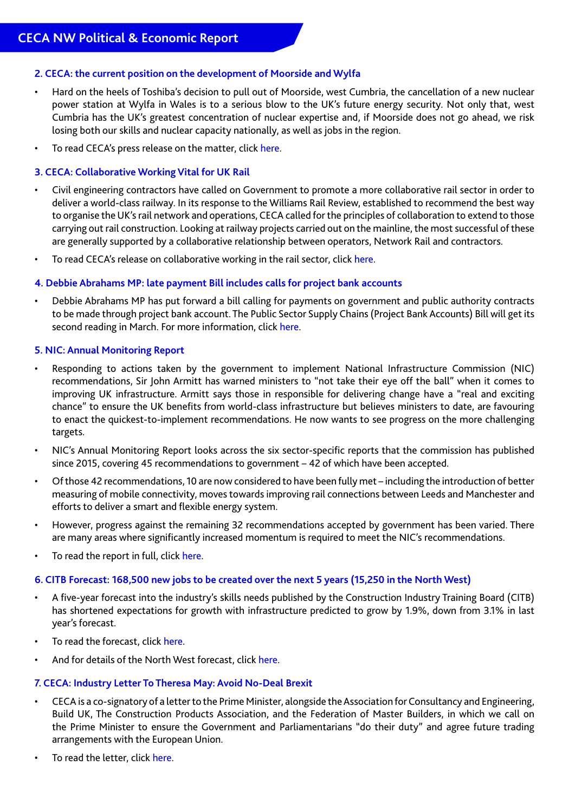#### **2. CECA: the current position on the development of Moorside and Wylfa**

- Hard on the heels of Toshiba's decision to pull out of Moorside, west Cumbria, the cancellation of a new nuclear power station at Wylfa in Wales is to a serious blow to the UK's future energy security. Not only that, west Cumbria has the UK's greatest concentration of nuclear expertise and, if Moorside does not go ahead, we risk losing both our skills and nuclear capacity nationally, as well as jobs in the region.
- To read CECA's press release on the matter, click [here](https://www.ceca.co.uk/wp-content/uploads/2019/01/PRESS-RELEASE-CECA-Wylfa-Cancellation-A-Serious-Blow-To-The-UKs-Future-Energy-Security-Immed.-17-January-2019.pdf).

#### **3. CECA: Collaborative Working Vital for UK Rail**

- Civil engineering contractors have called on Government to promote a more collaborative rail sector in order to deliver a world-class railway. In its response to the Williams Rail Review, established to recommend the best way to organise the UK's rail network and operations, CECA called for the principles of collaboration to extend to those carrying out rail construction. Looking at railway projects carried out on the mainline, the most successful of these are generally supported by a collaborative relationship between operators, Network Rail and contractors.
- To read CECA's release on collaborative working in the rail sector, click [here.](https://www.ceca.co.uk/ceca-collaborative-working-vital-for-uk-rail/)

#### **4. Debbie Abrahams MP: late payment Bill includes calls for project bank accounts**

• Debbie Abrahams MP has put forward a bill calling for payments on government and public authority contracts to be made through project bank account. The Public Sector Supply Chains (Project Bank Accounts) Bill will get its second reading in March. For more information, click [here](https://services.parliament.uk/bills/2017-19/publicsectorsupplychainsprojectbankaccounts.html).

#### **5. NIC: Annual Monitoring Report**

- Responding to actions taken by the government to implement National Infrastructure Commission (NIC) recommendations, Sir John Armitt has warned ministers to "not take their eye off the ball" when it comes to improving UK infrastructure. Armitt says those in responsible for delivering change have a "real and exciting chance" to ensure the UK benefits from world-class infrastructure but believes ministers to date, are favouring to enact the quickest-to-implement recommendations. He now wants to see progress on the more challenging targets.
- NIC's Annual Monitoring Report looks across the six sector-specific reports that the commission has published since 2015, covering 45 recommendations to government – 42 of which have been accepted.
- Of those 42 recommendations, 10 are now considered to have been fully met including the introduction of better measuring of mobile connectivity, moves towards improving rail connections between Leeds and Manchester and efforts to deliver a smart and flexible energy system.
- However, progress against the remaining 32 recommendations accepted by government has been varied. There are many areas where significantly increased momentum is required to meet the NIC's recommendations.
- To read the report in full, click [here.](https://www.nic.org.uk/wp-content/uploads/Annual-Monitoring-Report-2018-Final.pdf)

#### **6. CITB Forecast: 168,500 new jobs to be created over the next 5 years (15,250 in the North West)**

- A five-year forecast into the industry's skills needs published by the Construction Industry Training Board (CITB) has shortened expectations for growth with infrastructure predicted to grow by 1.9%, down from 3.1% in last year's forecast.
- To read the forecast, click [here](https://www.citb.co.uk/research-insight/construction-skills-network/industry-insights/  ).
- And for details of the North West forecast, click [here](https://www.citb.co.uk/documents/research/csn_reports_2019-2023/csk-csn-info-nwest_lo_crop.pdf).

#### **7. CECA: Industry Letter To Theresa May: Avoid No-Deal Brexit**

- CECA is a co-signatory of a letter to the Prime Minister, alongside the Association for Consultancy and Engineering, Build UK, The Construction Products Association, and the Federation of Master Builders, in which we call on the Prime Minister to ensure the Government and Parliamentarians "do their duty" and agree future trading arrangements with the European Union.
- To read the letter, click [here.](https://www.ceca.co.uk/industry-letter-to-theresa-may-avoid-no-deal-brexit/)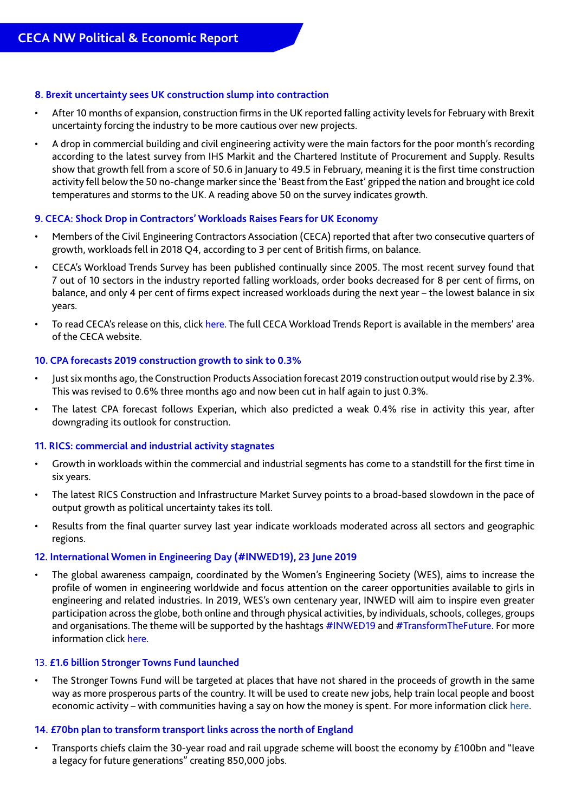#### **8. Brexit uncertainty sees UK construction slump into contraction**

- After 10 months of expansion, construction firms in the UK reported falling activity levels for February with Brexit uncertainty forcing the industry to be more cautious over new projects.
- A drop in commercial building and civil engineering activity were the main factors for the poor month's recording according to the latest survey from IHS Markit and the Chartered Institute of Procurement and Supply. Results show that growth fell from a score of 50.6 in January to 49.5 in February, meaning it is the first time construction activity fell below the 50 no-change marker since the 'Beast from the East' gripped the nation and brought ice cold temperatures and storms to the UK. A reading above 50 on the survey indicates growth.

#### **9. CECA: Shock Drop in Contractors' Workloads Raises Fears for UK Economy**

- Members of the Civil Engineering Contractors Association (CECA) reported that after two consecutive quarters of growth, workloads fell in 2018 Q4, according to 3 per cent of British firms, on balance.
- CECA's Workload Trends Survey has been published continually since 2005. The most recent survey found that 7 out of 10 sectors in the industry reported falling workloads, order books decreased for 8 per cent of firms, on balance, and only 4 per cent of firms expect increased workloads during the next year – the lowest balance in six years.
- To read CECA's release on this, click [here](https://www.ceca.co.uk/ceca-shock-drop-in-contractors-workloads-raises-fears-for-uk-economy/). The full CECA Workload Trends Report is available in the members' area of the CECA website.

#### **10. CPA forecasts 2019 construction growth to sink to 0.3%**

- Just six months ago, the Construction Products Association forecast 2019 construction output would rise by 2.3%. This was revised to 0.6% three months ago and now been cut in half again to just 0.3%.
- The latest CPA forecast follows Experian, which also predicted a weak 0.4% rise in activity this year, after downgrading its outlook for construction.

#### **11. RICS: commercial and industrial activity stagnates**

- Growth in workloads within the commercial and industrial segments has come to a standstill for the first time in six years.
- The latest RICS Construction and Infrastructure Market Survey points to a broad-based slowdown in the pace of output growth as political uncertainty takes its toll.
- Results from the final quarter survey last year indicate workloads moderated across all sectors and geographic regions.

#### **12. International Women in Engineering Day (#INWED19), 23 June 2019**

• The global awareness campaign, coordinated by the Women's Engineering Society (WES), aims to increase the profile of women in engineering worldwide and focus attention on the career opportunities available to girls in engineering and related industries. In 2019, WES's own centenary year, INWED will aim to inspire even greater participation across the globe, both online and through physical activities, by individuals, schools, colleges, groups and organisations. The theme will be supported by the hashtags #INWED19 and #TransformTheFuture. For more information click [here.](http://www.inwed.org.uk/)

#### 13. **£1.6 billion Stronger Towns Fund launched**

The Stronger Towns Fund will be targeted at places that have not shared in the proceeds of growth in the same way as more prosperous parts of the country. It will be used to create new jobs, help train local people and boost economic activity – with communities having a say on how the money is spent. For more information click [here.](https://www.gov.uk/government/news/16-billion-stronger-towns-fund-launched)

#### **14. £70bn plan to transform transport links across the north of England**

• Transports chiefs claim the 30-year road and rail upgrade scheme will boost the economy by £100bn and "leave a legacy for future generations" creating 850,000 jobs.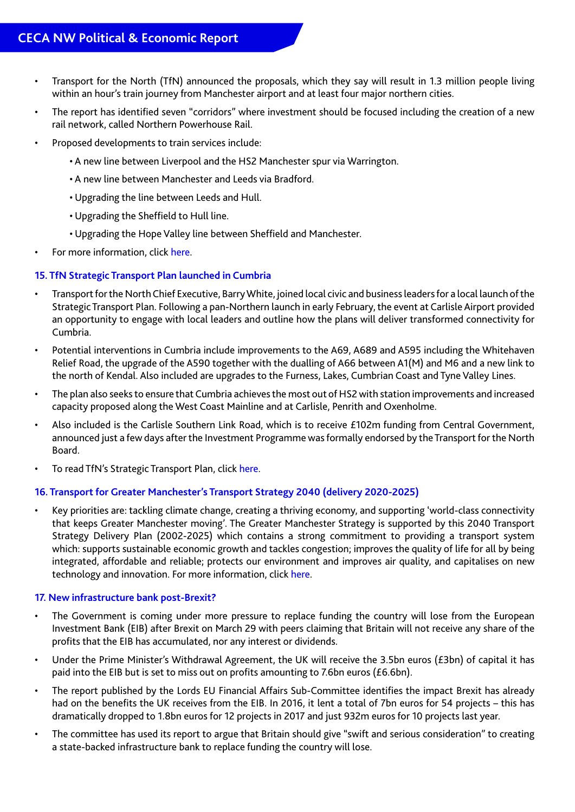- Transport for the North (TfN) announced the proposals, which they say will result in 1.3 million people living within an hour's train journey from Manchester airport and at least four major northern cities.
- The report has identified seven "corridors" where investment should be focused including the creation of a new rail network, called Northern Powerhouse Rail.
- Proposed developments to train services include:
	- A new line between Liverpool and the HS2 Manchester spur via Warrington.
	- A new line between Manchester and Leeds via Bradford.
	- Upgrading the line between Leeds and Hull.
	- Upgrading the Sheffield to Hull line.
	- Upgrading the Hope Valley line between Sheffield and Manchester.
- For more information, click [here.](https://transportforthenorth.com/70-b-blueprint-transform-north-economy/)

#### **15. TfN Strategic Transport Plan launched in Cumbria**

- Transport for the North Chief Executive, Barry White, joined local civic and business leaders for a local launch of the Strategic Transport Plan. Following a pan-Northern launch in early February, the event at Carlisle Airport provided an opportunity to engage with local leaders and outline how the plans will deliver transformed connectivity for Cumbria.
- Potential interventions in Cumbria include improvements to the A69, A689 and A595 including the Whitehaven Relief Road, the upgrade of the A590 together with the dualling of A66 between A1(M) and M6 and a new link to the north of Kendal. Also included are upgrades to the Furness, Lakes, Cumbrian Coast and Tyne Valley Lines.
- The plan also seeks to ensure that Cumbria achieves the most out of HS2 with station improvements and increased capacity proposed along the West Coast Mainline and at Carlisle, Penrith and Oxenholme.
- Also included is the Carlisle Southern Link Road, which is to receive £102m funding from Central Government, announced just a few days after the Investment Programme was formally endorsed by the Transport for the North Board.
- To read TfN's Strategic Transport Plan, click [here.](https://transportforthenorth.com/wp-content/uploads/TfN-final-strategic-transport-plan-2019.pdf)

#### **16. Transport for Greater Manchester's Transport Strategy 2040 (delivery 2020-2025)**

• Key priorities are: tackling climate change, creating a thriving economy, and supporting 'world-class connectivity that keeps Greater Manchester moving'. The Greater Manchester Strategy is supported by this 2040 Transport Strategy Delivery Plan (2002-2025) which contains a strong commitment to providing a transport system which: supports sustainable economic growth and tackles congestion; improves the quality of life for all by being integrated, affordable and reliable; protects our environment and improves air quality, and capitalises on new technology and innovation. For more information, click [here](https://assets.ctfassets.net/nv7y93idf4jq/5M1WIyfjj2giEsaUy00yaG/c9c1665385b04d9490e5908ad01e860d/190104_Draft_Delivery_Plan__2020-2025_.pdf).

#### **17. New infrastructure bank post-Brexit?**

- The Government is coming under more pressure to replace funding the country will lose from the European Investment Bank (EIB) after Brexit on March 29 with peers claiming that Britain will not receive any share of the profits that the EIB has accumulated, nor any interest or dividends.
- Under the Prime Minister's Withdrawal Agreement, the UK will receive the 3.5bn euros (£3bn) of capital it has paid into the EIB but is set to miss out on profits amounting to 7.6bn euros (£6.6bn).
- The report published by the Lords EU Financial Affairs Sub-Committee identifies the impact Brexit has already had on the benefits the UK receives from the EIB. In 2016, it lent a total of 7bn euros for 54 projects – this has dramatically dropped to 1.8bn euros for 12 projects in 2017 and just 932m euros for 10 projects last year.
- The committee has used its report to argue that Britain should give "swift and serious consideration" to creating a state-backed infrastructure bank to replace funding the country will lose.